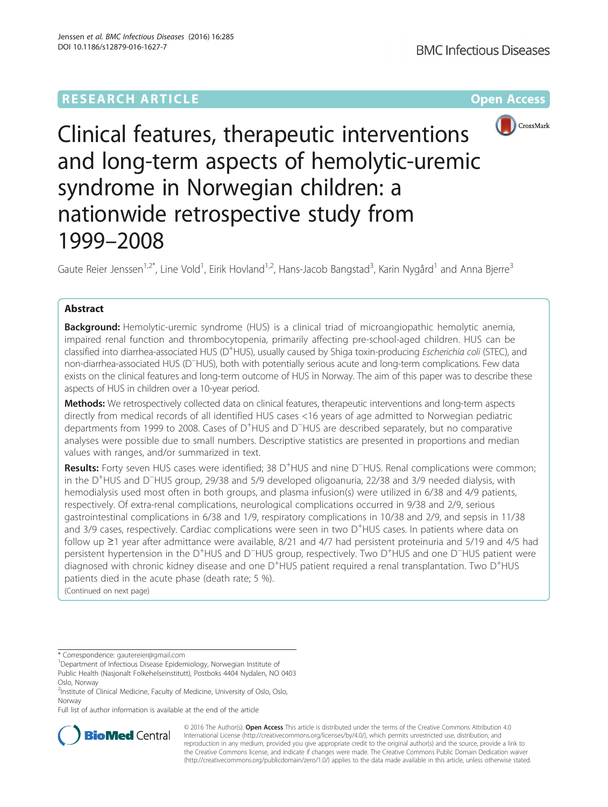# **RESEARCH ARTICLE Example 2014 12:30 The Community Community Community Community Community Community Community**



Clinical features, therapeutic interventions and long-term aspects of hemolytic-uremic syndrome in Norwegian children: a nationwide retrospective study from 1999–2008

Gaute Reier Jenssen<sup>1,2\*</sup>, Line Vold<sup>1</sup>, Eirik Hovland<sup>1,2</sup>, Hans-Jacob Bangstad<sup>3</sup>, Karin Nygård<sup>1</sup> and Anna Bjerre<sup>3</sup>

# Abstract

Background: Hemolytic-uremic syndrome (HUS) is a clinical triad of microangiopathic hemolytic anemia, impaired renal function and thrombocytopenia, primarily affecting pre-school-aged children. HUS can be classified into diarrhea-associated HUS (D<sup>+</sup>HUS), usually caused by Shiga toxin-producing Escherichia coli (STEC), and non-diarrhea-associated HUS (D<sup>−</sup> HUS), both with potentially serious acute and long-term complications. Few data exists on the clinical features and long-term outcome of HUS in Norway. The aim of this paper was to describe these aspects of HUS in children over a 10-year period.

Methods: We retrospectively collected data on clinical features, therapeutic interventions and long-term aspects directly from medical records of all identified HUS cases <16 years of age admitted to Norwegian pediatric departments from 1999 to 2008. Cases of D<sup>+</sup>HUS and D<sup>−</sup>HUS are described separately, but no comparative analyses were possible due to small numbers. Descriptive statistics are presented in proportions and median values with ranges, and/or summarized in text.

Results: Forty seven HUS cases were identified; 38 D<sup>+</sup>HUS and nine D<sup>−</sup>HUS. Renal complications were common; in the D<sup>+</sup>HUS and D<sup>−</sup>HUS group, 29/38 and 5/9 developed oligoanuria, 22/38 and 3/9 needed dialysis, with hemodialysis used most often in both groups, and plasma infusion(s) were utilized in 6/38 and 4/9 patients, respectively. Of extra-renal complications, neurological complications occurred in 9/38 and 2/9, serious gastrointestinal complications in 6/38 and 1/9, respiratory complications in 10/38 and 2/9, and sepsis in 11/38 and 3/9 cases, respectively. Cardiac complications were seen in two D<sup>+</sup>HUS cases. In patients where data on follow up ≥1 year after admittance were available, 8/21 and 4/7 had persistent proteinuria and 5/19 and 4/5 had persistent hypertension in the D<sup>+</sup>HUS and D<sup>−</sup>HUS group, respectively. Two D<sup>+</sup>HUS and one D<sup>−</sup>HUS patient were diagnosed with chronic kidney disease and one D<sup>+</sup>HUS patient required a renal transplantation. Two D<sup>+</sup>HUS patients died in the acute phase (death rate; 5 %). (Continued on next page)

\* Correspondence: [gautereier@gmail.com](mailto:gautereier@gmail.com) <sup>1</sup>

<sup>1</sup>Department of Infectious Disease Epidemiology, Norwegian Institute of Public Health (Nasjonalt Folkehelseinstitutt), Postboks 4404 Nydalen, NO 0403

Full list of author information is available at the end of the article



© 2016 The Author(s). Open Access This article is distributed under the terms of the Creative Commons Attribution 4.0 International License [\(http://creativecommons.org/licenses/by/4.0/](http://creativecommons.org/licenses/by/4.0/)), which permits unrestricted use, distribution, and reproduction in any medium, provided you give appropriate credit to the original author(s) and the source, provide a link to the Creative Commons license, and indicate if changes were made. The Creative Commons Public Domain Dedication waiver [\(http://creativecommons.org/publicdomain/zero/1.0/](http://creativecommons.org/publicdomain/zero/1.0/)) applies to the data made available in this article, unless otherwise stated.

Oslo, Norway <sup>2</sup>Institute of Clinical Medicine, Faculty of Medicine, University of Oslo, Oslo,

Norway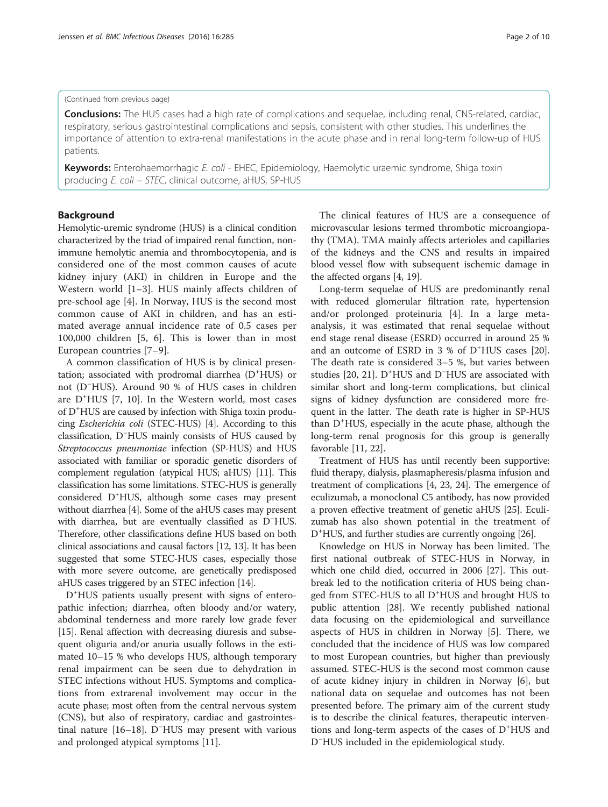#### (Continued from previous page)

**Conclusions:** The HUS cases had a high rate of complications and sequelae, including renal, CNS-related, cardiac, respiratory, serious gastrointestinal complications and sepsis, consistent with other studies. This underlines the importance of attention to extra-renal manifestations in the acute phase and in renal long-term follow-up of HUS patients.

Keywords: Enterohaemorrhagic E. coli - EHEC, Epidemiology, Haemolytic uraemic syndrome, Shiga toxin producing E. coli – STEC, clinical outcome, aHUS, SP-HUS

## Background

Hemolytic-uremic syndrome (HUS) is a clinical condition characterized by the triad of impaired renal function, nonimmune hemolytic anemia and thrombocytopenia, and is considered one of the most common causes of acute kidney injury (AKI) in children in Europe and the Western world [[1](#page-8-0)–[3\]](#page-8-0). HUS mainly affects children of pre-school age [\[4](#page-8-0)]. In Norway, HUS is the second most common cause of AKI in children, and has an estimated average annual incidence rate of 0.5 cases per 100,000 children [[5, 6\]](#page-8-0). This is lower than in most European countries [\[7](#page-8-0)–[9](#page-8-0)].

A common classification of HUS is by clinical presentation; associated with prodromal diarrhea (D<sup>+</sup>HUS) or not (D<sup>−</sup> HUS). Around 90 % of HUS cases in children are D<sup>+</sup>HUS [[7, 10](#page-8-0)]. In the Western world, most cases of D<sup>+</sup>HUS are caused by infection with Shiga toxin producing Escherichia coli (STEC-HUS) [\[4](#page-8-0)]. According to this classification, D<sup>−</sup> HUS mainly consists of HUS caused by Streptococcus pneumoniae infection (SP-HUS) and HUS associated with familiar or sporadic genetic disorders of complement regulation (atypical HUS; aHUS) [[11](#page-8-0)]. This classification has some limitations. STEC-HUS is generally considered D<sup>+</sup>HUS, although some cases may present without diarrhea [[4\]](#page-8-0). Some of the aHUS cases may present with diarrhea, but are eventually classified as D<sup>−</sup> HUS. Therefore, other classifications define HUS based on both clinical associations and causal factors [[12](#page-8-0), [13\]](#page-8-0). It has been suggested that some STEC-HUS cases, especially those with more severe outcome, are genetically predisposed aHUS cases triggered by an STEC infection [[14](#page-8-0)].

D<sup>+</sup>HUS patients usually present with signs of enteropathic infection; diarrhea, often bloody and/or watery, abdominal tenderness and more rarely low grade fever [[15\]](#page-8-0). Renal affection with decreasing diuresis and subsequent oliguria and/or anuria usually follows in the estimated 10–15 % who develops HUS, although temporary renal impairment can be seen due to dehydration in STEC infections without HUS. Symptoms and complications from extrarenal involvement may occur in the acute phase; most often from the central nervous system (CNS), but also of respiratory, cardiac and gastrointestinal nature [[16](#page-8-0)–[18](#page-8-0)]. D<sup>−</sup> HUS may present with various and prolonged atypical symptoms [[11\]](#page-8-0).

The clinical features of HUS are a consequence of microvascular lesions termed thrombotic microangiopathy (TMA). TMA mainly affects arterioles and capillaries of the kidneys and the CNS and results in impaired blood vessel flow with subsequent ischemic damage in the affected organs [[4](#page-8-0), [19](#page-9-0)].

Long-term sequelae of HUS are predominantly renal with reduced glomerular filtration rate, hypertension and/or prolonged proteinuria [\[4](#page-8-0)]. In a large metaanalysis, it was estimated that renal sequelae without end stage renal disease (ESRD) occurred in around 25 % and an outcome of ESRD in 3 % of D<sup>+</sup>HUS cases [\[20](#page-9-0)]. The death rate is considered 3–5 %, but varies between studies [\[20](#page-9-0), [21](#page-9-0)]. D<sup>+</sup>HUS and D<sup>−</sup>HUS are associated with similar short and long-term complications, but clinical signs of kidney dysfunction are considered more frequent in the latter. The death rate is higher in SP-HUS than D<sup>+</sup>HUS, especially in the acute phase, although the long-term renal prognosis for this group is generally favorable [[11,](#page-8-0) [22](#page-9-0)].

Treatment of HUS has until recently been supportive: fluid therapy, dialysis, plasmapheresis/plasma infusion and treatment of complications [[4,](#page-8-0) [23, 24](#page-9-0)]. The emergence of eculizumab, a monoclonal C5 antibody, has now provided a proven effective treatment of genetic aHUS [[25](#page-9-0)]. Eculizumab has also shown potential in the treatment of D<sup>+</sup>HUS, and further studies are currently ongoing [\[26\]](#page-9-0).

Knowledge on HUS in Norway has been limited. The first national outbreak of STEC-HUS in Norway, in which one child died, occurred in 2006 [[27\]](#page-9-0). This outbreak led to the notification criteria of HUS being changed from STEC-HUS to all D<sup>+</sup>HUS and brought HUS to public attention [\[28](#page-9-0)]. We recently published national data focusing on the epidemiological and surveillance aspects of HUS in children in Norway [[5\]](#page-8-0). There, we concluded that the incidence of HUS was low compared to most European countries, but higher than previously assumed. STEC-HUS is the second most common cause of acute kidney injury in children in Norway [[6\]](#page-8-0), but national data on sequelae and outcomes has not been presented before. The primary aim of the current study is to describe the clinical features, therapeutic interventions and long-term aspects of the cases of D<sup>+</sup>HUS and D− HUS included in the epidemiological study.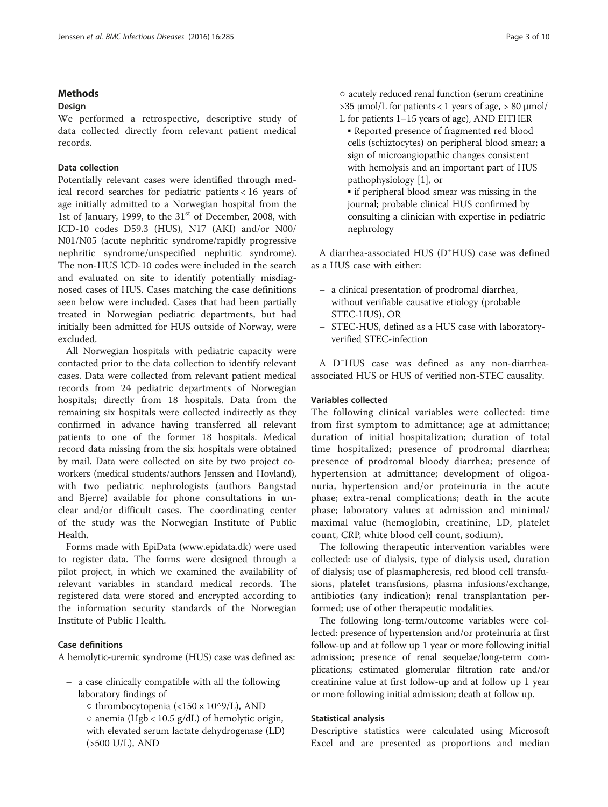## Methods

## Design

We performed a retrospective, descriptive study of data collected directly from relevant patient medical records.

# Data collection

Potentially relevant cases were identified through medical record searches for pediatric patients < 16 years of age initially admitted to a Norwegian hospital from the 1st of January, 1999, to the 31<sup>st</sup> of December, 2008, with ICD-10 codes D59.3 (HUS), N17 (AKI) and/or N00/ N01/N05 (acute nephritic syndrome/rapidly progressive nephritic syndrome/unspecified nephritic syndrome). The non-HUS ICD-10 codes were included in the search and evaluated on site to identify potentially misdiagnosed cases of HUS. Cases matching the case definitions seen below were included. Cases that had been partially treated in Norwegian pediatric departments, but had initially been admitted for HUS outside of Norway, were excluded.

All Norwegian hospitals with pediatric capacity were contacted prior to the data collection to identify relevant cases. Data were collected from relevant patient medical records from 24 pediatric departments of Norwegian hospitals; directly from 18 hospitals. Data from the remaining six hospitals were collected indirectly as they confirmed in advance having transferred all relevant patients to one of the former 18 hospitals. Medical record data missing from the six hospitals were obtained by mail. Data were collected on site by two project coworkers (medical students/authors Jenssen and Hovland), with two pediatric nephrologists (authors Bangstad and Bjerre) available for phone consultations in unclear and/or difficult cases. The coordinating center of the study was the Norwegian Institute of Public Health.

Forms made with EpiData ([www.epidata.dk](http://www.epidata.dk)) were used to register data. The forms were designed through a pilot project, in which we examined the availability of relevant variables in standard medical records. The registered data were stored and encrypted according to the information security standards of the Norwegian Institute of Public Health.

# Case definitions

A hemolytic-uremic syndrome (HUS) case was defined as:

- a case clinically compatible with all the following laboratory findings of
	- thrombocytopenia (<150 × 10^9/L), AND
	- $\circ$  anemia (Hgb < 10.5 g/dL) of hemolytic origin, with elevated serum lactate dehydrogenase (LD) (>500 U/L), AND

○ acutely reduced renal function (serum creatinine  $>$ 35  $\mu$ mol/L for patients < 1 years of age,  $>$  80  $\mu$ mol/ L for patients 1–15 years of age), AND EITHER

▪ Reported presence of fragmented red blood cells (schiztocytes) on peripheral blood smear; a sign of microangiopathic changes consistent with hemolysis and an important part of HUS pathophysiology [\[1\]](#page-8-0), or ▪ if peripheral blood smear was missing in the journal; probable clinical HUS confirmed by consulting a clinician with expertise in pediatric

A diarrhea-associated HUS (D<sup>+</sup>HUS) case was defined as a HUS case with either:

- a clinical presentation of prodromal diarrhea, without verifiable causative etiology (probable STEC-HUS), OR
- STEC-HUS, defined as a HUS case with laboratoryverified STEC-infection

A D<sup>−</sup> HUS case was defined as any non-diarrheaassociated HUS or HUS of verified non-STEC causality.

## Variables collected

nephrology

The following clinical variables were collected: time from first symptom to admittance; age at admittance; duration of initial hospitalization; duration of total time hospitalized; presence of prodromal diarrhea; presence of prodromal bloody diarrhea; presence of hypertension at admittance; development of oligoanuria, hypertension and/or proteinuria in the acute phase; extra-renal complications; death in the acute phase; laboratory values at admission and minimal/ maximal value (hemoglobin, creatinine, LD, platelet count, CRP, white blood cell count, sodium).

The following therapeutic intervention variables were collected: use of dialysis, type of dialysis used, duration of dialysis; use of plasmapheresis, red blood cell transfusions, platelet transfusions, plasma infusions/exchange, antibiotics (any indication); renal transplantation performed; use of other therapeutic modalities.

The following long-term/outcome variables were collected: presence of hypertension and/or proteinuria at first follow-up and at follow up 1 year or more following initial admission; presence of renal sequelae/long-term complications; estimated glomerular filtration rate and/or creatinine value at first follow-up and at follow up 1 year or more following initial admission; death at follow up.

## Statistical analysis

Descriptive statistics were calculated using Microsoft Excel and are presented as proportions and median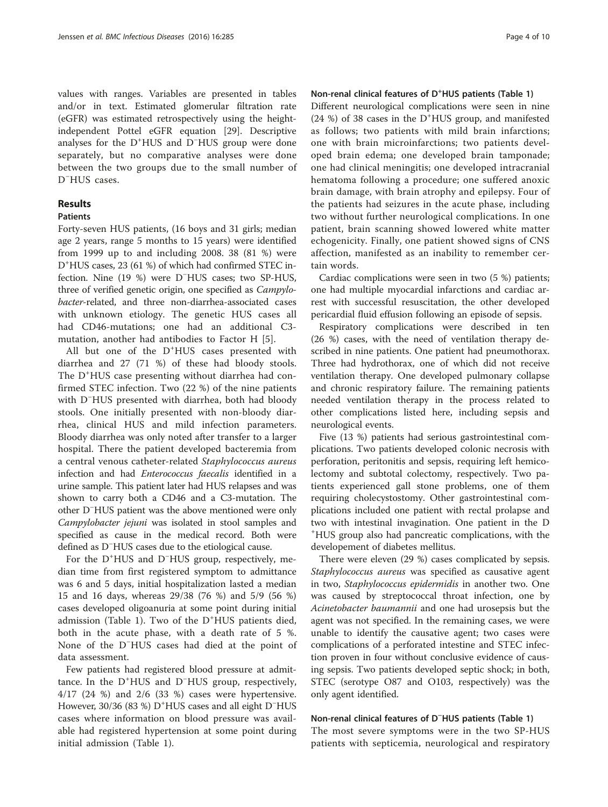values with ranges. Variables are presented in tables and/or in text. Estimated glomerular filtration rate (eGFR) was estimated retrospectively using the heightindependent Pottel eGFR equation [\[29](#page-9-0)]. Descriptive analyses for the D+ HUS and D<sup>−</sup> HUS group were done separately, but no comparative analyses were done between the two groups due to the small number of D<sup>-</sup>HUS cases.

# Results

# Patients

Forty-seven HUS patients, (16 boys and 31 girls; median age 2 years, range 5 months to 15 years) were identified from 1999 up to and including 2008. 38 (81 %) were D+ HUS cases, 23 (61 %) of which had confirmed STEC infection. Nine (19 %) were D<sup>−</sup> HUS cases; two SP-HUS, three of verified genetic origin, one specified as Campylobacter-related, and three non-diarrhea-associated cases with unknown etiology. The genetic HUS cases all had CD46-mutations; one had an additional C3 mutation, another had antibodies to Factor H [[5\]](#page-8-0).

All but one of the D<sup>+</sup>HUS cases presented with diarrhea and 27 (71 %) of these had bloody stools. The D<sup>+</sup>HUS case presenting without diarrhea had confirmed STEC infection. Two (22 %) of the nine patients with D<sup>−</sup> HUS presented with diarrhea, both had bloody stools. One initially presented with non-bloody diarrhea, clinical HUS and mild infection parameters. Bloody diarrhea was only noted after transfer to a larger hospital. There the patient developed bacteremia from a central venous catheter-related Staphylococcus aureus infection and had Enterococcus faecalis identified in a urine sample. This patient later had HUS relapses and was shown to carry both a CD46 and a C3-mutation. The other D<sup>−</sup> HUS patient was the above mentioned were only Campylobacter jejuni was isolated in stool samples and specified as cause in the medical record. Both were defined as D<sup>−</sup> HUS cases due to the etiological cause.

For the D+ HUS and D<sup>−</sup> HUS group, respectively, median time from first registered symptom to admittance was 6 and 5 days, initial hospitalization lasted a median 15 and 16 days, whereas 29/38 (76 %) and 5/9 (56 %) cases developed oligoanuria at some point during initial admission (Table [1](#page-4-0)). Two of the D<sup>+</sup>HUS patients died, both in the acute phase, with a death rate of 5 %. None of the D<sup>−</sup> HUS cases had died at the point of data assessment.

Few patients had registered blood pressure at admittance. In the D<sup>+</sup> HUS and D<sup>−</sup> HUS group, respectively, 4/17 (24 %) and 2/6 (33 %) cases were hypertensive. However, 30/36 (83 %) D<sup>+</sup>HUS cases and all eight D<sup>-</sup>HUS cases where information on blood pressure was available had registered hypertension at some point during initial admission (Table [1](#page-4-0)).

# Non-renal clinical features of D<sup>+</sup>HUS patients (Table [1](#page-4-0))

Different neurological complications were seen in nine (24 %) of 38 cases in the D+ HUS group, and manifested as follows; two patients with mild brain infarctions; one with brain microinfarctions; two patients developed brain edema; one developed brain tamponade; one had clinical meningitis; one developed intracranial hematoma following a procedure; one suffered anoxic brain damage, with brain atrophy and epilepsy. Four of the patients had seizures in the acute phase, including two without further neurological complications. In one patient, brain scanning showed lowered white matter echogenicity. Finally, one patient showed signs of CNS affection, manifested as an inability to remember certain words.

Cardiac complications were seen in two (5 %) patients; one had multiple myocardial infarctions and cardiac arrest with successful resuscitation, the other developed pericardial fluid effusion following an episode of sepsis.

Respiratory complications were described in ten (26 %) cases, with the need of ventilation therapy described in nine patients. One patient had pneumothorax. Three had hydrothorax, one of which did not receive ventilation therapy. One developed pulmonary collapse and chronic respiratory failure. The remaining patients needed ventilation therapy in the process related to other complications listed here, including sepsis and neurological events.

Five (13 %) patients had serious gastrointestinal complications. Two patients developed colonic necrosis with perforation, peritonitis and sepsis, requiring left hemicolectomy and subtotal colectomy, respectively. Two patients experienced gall stone problems, one of them requiring cholecystostomy. Other gastrointestinal complications included one patient with rectal prolapse and two with intestinal invagination. One patient in the D + HUS group also had pancreatic complications, with the developement of diabetes mellitus.

There were eleven (29 %) cases complicated by sepsis. Staphylococcus aureus was specified as causative agent in two, Staphylococcus epidermidis in another two. One was caused by streptococcal throat infection, one by Acinetobacter baumannii and one had urosepsis but the agent was not specified. In the remaining cases, we were unable to identify the causative agent; two cases were complications of a perforated intestine and STEC infection proven in four without conclusive evidence of causing sepsis. Two patients developed septic shock; in both, STEC (serotype O87 and O103, respectively) was the only agent identified.

# Non-renal clinical features of D<sup>−</sup> HUS patients (Table [1](#page-4-0))

The most severe symptoms were in the two SP-HUS patients with septicemia, neurological and respiratory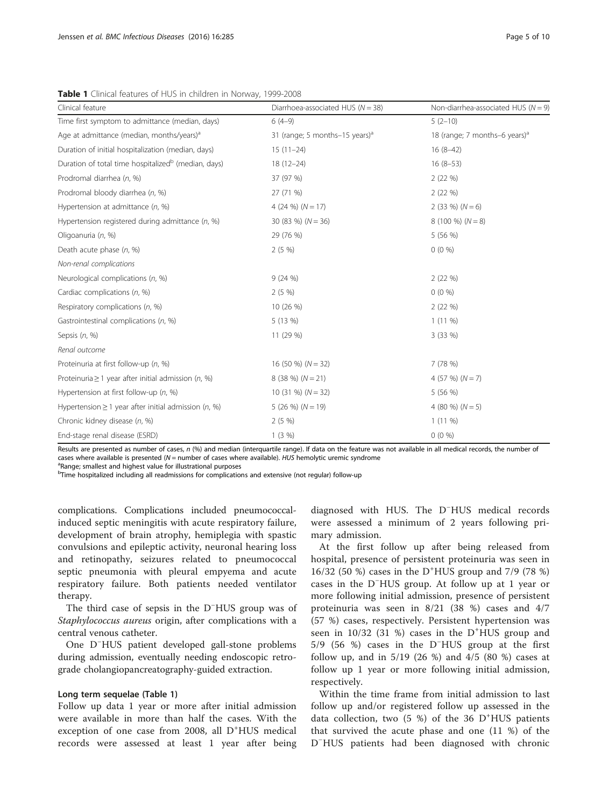| Clinical feature                                                | Diarrhoea-associated HUS ( $N = 38$ )      | Non-diarrhea-associated HUS ( $N = 9$ )   |
|-----------------------------------------------------------------|--------------------------------------------|-------------------------------------------|
| Time first symptom to admittance (median, days)                 | $6(4-9)$                                   | $5(2-10)$                                 |
| Age at admittance (median, months/years) <sup>a</sup>           | 31 (range; 5 months-15 years) <sup>a</sup> | 18 (range; 7 months-6 years) <sup>a</sup> |
| Duration of initial hospitalization (median, days)              | $15(11-24)$                                | $16(8-42)$                                |
| Duration of total time hospitalized <sup>b</sup> (median, days) | $18(12 - 24)$                              | $16(8-53)$                                |
| Prodromal diarrhea (n, %)                                       | 37 (97 %)                                  | 2(22%)                                    |
| Prodromal bloody diarrhea (n, %)                                | 27 (71 %)                                  | 2(22%)                                    |
| Hypertension at admittance $(n, %)$                             | 4 (24 %) $(N = 17)$                        | $2(33\%) (N=6)$                           |
| Hypertension registered during admittance (n, %)                | 30 (83 %) $(N = 36)$                       | $8(100\%) (N=8)$                          |
| Oligoanuria (n, %)                                              | 29 (76 %)                                  | 5 (56 %)                                  |
| Death acute phase (n, %)                                        | 2(5%                                       | $0(0\%)$                                  |
| Non-renal complications                                         |                                            |                                           |
| Neurological complications (n, %)                               | 9(24%)                                     | 2(22%)                                    |
| Cardiac complications (n, %)                                    | $2(5\%)$                                   | $0(0\%)$                                  |
| Respiratory complications (n, %)                                | 10 (26 %)                                  | 2(22%)                                    |
| Gastrointestinal complications (n, %)                           | 5 (13 %)                                   | $1(11\%)$                                 |
| Sepsis (n, %)                                                   | 11 (29 %)                                  | 3(33%)                                    |
| Renal outcome                                                   |                                            |                                           |
| Proteinuria at first follow-up (n, %)                           | 16 (50 %) $(N = 32)$                       | 7 (78 %)                                  |
| Proteinuria $\geq 1$ year after initial admission (n, %)        | $8(38\%) (N=21)$                           | 4 (57 %) $(N = 7)$                        |
| Hypertension at first follow-up (n, %)                          | $10(31\%) (N = 32)$                        | 5 (56 %)                                  |
| Hypertension $\geq$ 1 year after initial admission (n, %)       | $5(26\%) (N=19)$                           | 4 (80 %) $(N = 5)$                        |
| Chronic kidney disease (n, %)                                   | 2(5%                                       | $1(11\%)$                                 |
| End-stage renal disease (ESRD)                                  | 1(3%)                                      | $0(0\%)$                                  |

<span id="page-4-0"></span>Table 1 Clinical features of HUS in children in Norway, 1999-2008

Results are presented as number of cases, n (%) and median (interquartile range). If data on the feature was not available in all medical records, the number of cases where available is presented ( $N$  = number of cases where available). HUS hemolytic uremic syndrome

<sup>a</sup>Range: smallest and highest value for illustrational purposes

<sup>b</sup>Time hospitalized including all readmissions for complications and extensive (not regular) follow-up

complications. Complications included pneumococcalinduced septic meningitis with acute respiratory failure, development of brain atrophy, hemiplegia with spastic convulsions and epileptic activity, neuronal hearing loss and retinopathy, seizures related to pneumococcal septic pneumonia with pleural empyema and acute respiratory failure. Both patients needed ventilator therapy.

The third case of sepsis in the D<sup>−</sup> HUS group was of Staphylococcus aureus origin, after complications with a central venous catheter.

One D<sup>−</sup> HUS patient developed gall-stone problems during admission, eventually needing endoscopic retrograde cholangiopancreatography-guided extraction.

# Long term sequelae (Table 1)

Follow up data 1 year or more after initial admission were available in more than half the cases. With the exception of one case from 2008, all D<sup>+</sup>HUS medical records were assessed at least 1 year after being diagnosed with HUS. The D<sup>−</sup> HUS medical records were assessed a minimum of 2 years following primary admission.

At the first follow up after being released from hospital, presence of persistent proteinuria was seen in 16/32 (50 %) cases in the D<sup>+</sup> HUS group and 7/9 (78 %) cases in the D<sup>−</sup> HUS group. At follow up at 1 year or more following initial admission, presence of persistent proteinuria was seen in 8/21 (38 %) cases and 4/7 (57 %) cases, respectively. Persistent hypertension was seen in 10/32 (31 %) cases in the D<sup>+</sup>HUS group and 5/9 (56 %) cases in the D<sup>−</sup> HUS group at the first follow up, and in 5/19 (26 %) and 4/5 (80 %) cases at follow up 1 year or more following initial admission, respectively.

Within the time frame from initial admission to last follow up and/or registered follow up assessed in the data collection, two (5 %) of the 36 D<sup>+</sup>HUS patients that survived the acute phase and one (11 %) of the D<sup>-</sup>HUS patients had been diagnosed with chronic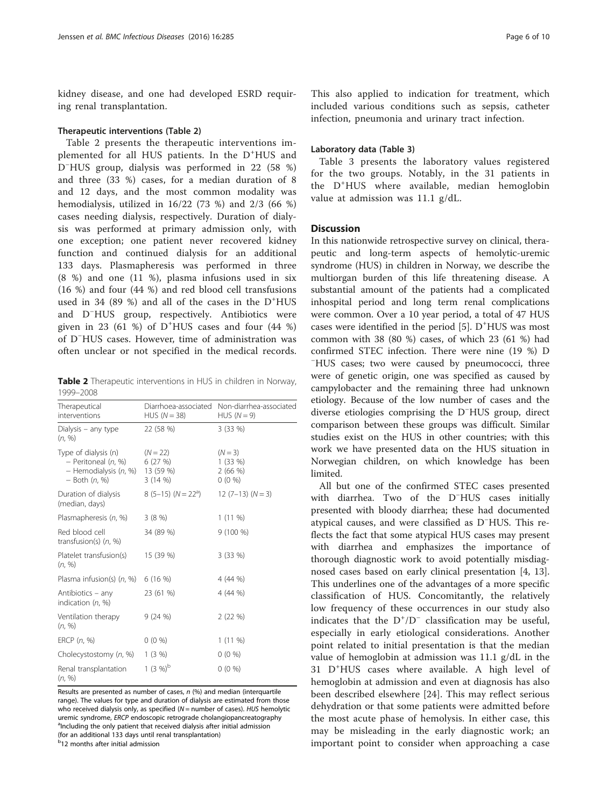kidney disease, and one had developed ESRD requiring renal transplantation.

#### Therapeutic interventions (Table 2)

Table 2 presents the therapeutic interventions implemented for all HUS patients. In the D<sup>+</sup>HUS and D− HUS group, dialysis was performed in 22 (58 %) and three (33 %) cases, for a median duration of 8 and 12 days, and the most common modality was hemodialysis, utilized in 16/22 (73 %) and 2/3 (66 %) cases needing dialysis, respectively. Duration of dialysis was performed at primary admission only, with one exception; one patient never recovered kidney function and continued dialysis for an additional 133 days. Plasmapheresis was performed in three (8 %) and one (11 %), plasma infusions used in six (16 %) and four (44 %) and red blood cell transfusions used in 34 (89 %) and all of the cases in the D<sup>+</sup> HUS and D<sup>−</sup> HUS group, respectively. Antibiotics were given in 23 (61 %) of  $D^+$ HUS cases and four (44 %) of D<sup>−</sup> HUS cases. However, time of administration was often unclear or not specified in the medical records.

Table 2 Therapeutic interventions in HUS in children in Norway, 1999–2008

| Therapeutical<br>interventions                                                                          | Diarrhoea-associated<br>HUS $(N = 38)$ | Non-diarrhea-associated<br>HUS $(N = 9)$  |
|---------------------------------------------------------------------------------------------------------|----------------------------------------|-------------------------------------------|
| Dialysis – any type<br>(n, %)                                                                           | 22 (58 %)                              | 3(33%)                                    |
| Type of dialysis (n)<br>- Peritoneal (n, %)<br>$-$ Hemodialysis $(n, %)$ 13 (59 %)<br>$-$ Both $(n, %)$ | $(N = 22)$<br>6(27%)<br>3(14% )        | $(N = 3)$<br>1(33%)<br>2(66%)<br>$0(0\%)$ |
| Duration of dialysis<br>(median, days)                                                                  | $8(5-15)(N=22^a)$                      | $12(7-13)(N=3)$                           |
| Plasmapheresis (n, %)                                                                                   | $3(8\%)$                               | $1(11\%)$                                 |
| Red blood cell<br>transfusion(s) $(n, %)$                                                               | 34 (89 %)                              | $9(100\%)$                                |
| Platelet transfusion(s)<br>(n, %)                                                                       | 15 (39 %)                              | 3(33%)                                    |
| Plasma infusion(s) (n, %)                                                                               | 6 (16 %)                               | 4(44%)                                    |
| Antibiotics – any<br>indication $(n, %)$                                                                | 23 (61 %)                              | 4 (44 %)                                  |
| Ventilation therapy<br>(n, %)                                                                           | 9(24%)                                 | 2(22%)                                    |
| ERCP $(n, %)$                                                                                           | $0(0\%)$                               | $1(11\%)$                                 |
| Cholecystostomy (n, %)                                                                                  | 1(3%)                                  | $0(0\%)$                                  |
| Renal transplantation<br>(n, %)                                                                         | 1 $(3\%)^b$                            | $0(0\% )$                                 |

Results are presented as number of cases,  $n$  (%) and median (interquartile range). The values for type and duration of dialysis are estimated from those who received dialysis only, as specified ( $N$  = number of cases). HUS hemolytic uremic syndrome, ERCP endoscopic retrograde cholangiopancreatography <sup>a</sup>Including the only patient that received dialysis after initial admission (for an additional 133 days until renal transplantation)

<sup>b</sup>12 months after initial admission

This also applied to indication for treatment, which included various conditions such as sepsis, catheter infection, pneumonia and urinary tract infection.

#### Laboratory data (Table [3\)](#page-6-0)

Table [3](#page-6-0) presents the laboratory values registered for the two groups. Notably, in the 31 patients in the D<sup>+</sup> HUS where available, median hemoglobin value at admission was 11.1 g/dL.

#### **Discussion**

In this nationwide retrospective survey on clinical, therapeutic and long-term aspects of hemolytic-uremic syndrome (HUS) in children in Norway, we describe the multiorgan burden of this life threatening disease. A substantial amount of the patients had a complicated inhospital period and long term renal complications were common. Over a 10 year period, a total of 47 HUS cases were identified in the period  $[5]$  $[5]$ .  $D^+HUS$  was most common with 38 (80 %) cases, of which 23 (61 %) had confirmed STEC infection. There were nine (19 %) D − HUS cases; two were caused by pneumococci, three were of genetic origin, one was specified as caused by campylobacter and the remaining three had unknown etiology. Because of the low number of cases and the diverse etiologies comprising the D<sup>−</sup> HUS group, direct comparison between these groups was difficult. Similar studies exist on the HUS in other countries; with this work we have presented data on the HUS situation in Norwegian children, on which knowledge has been limited.

All but one of the confirmed STEC cases presented with diarrhea. Two of the D<sup>−</sup> HUS cases initially presented with bloody diarrhea; these had documented atypical causes, and were classified as D<sup>−</sup> HUS. This reflects the fact that some atypical HUS cases may present with diarrhea and emphasizes the importance of thorough diagnostic work to avoid potentially misdiagnosed cases based on early clinical presentation [[4](#page-8-0), [13](#page-8-0)]. This underlines one of the advantages of a more specific classification of HUS. Concomitantly, the relatively low frequency of these occurrences in our study also indicates that the  $D^+/D^-$  classification may be useful, especially in early etiological considerations. Another point related to initial presentation is that the median value of hemoglobin at admission was 11.1 g/dL in the 31 D<sup>+</sup> HUS cases where available. A high level of hemoglobin at admission and even at diagnosis has also been described elsewhere [\[24](#page-9-0)]. This may reflect serious dehydration or that some patients were admitted before the most acute phase of hemolysis. In either case, this may be misleading in the early diagnostic work; an important point to consider when approaching a case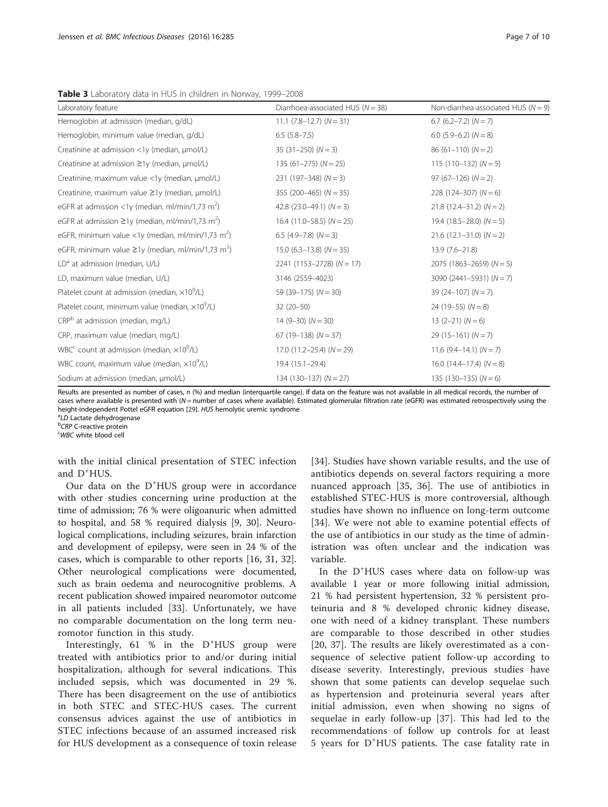<span id="page-6-0"></span>Table 3 Laboratory data in HUS in children in Norway, 1999-2008

| Laboratory feature                                                  | Diarrhoea-associated HUS ( $N = 38$ ) | Non-diarrhea-associated HUS ( $N = 9$ ) |
|---------------------------------------------------------------------|---------------------------------------|-----------------------------------------|
| Hemoglobin at admission (median, g/dL)                              | $11.1$ (7.8–12.7) (N = 31)            | $6.7$ (6.2–7.2) ( $N = 7$ )             |
| Hemoglobin, minimum value (median, g/dL)                            | $6.5(5.8-7.5)$                        | 6.0 $(5.9-6.2)$ $(N = 8)$               |
| Creatinine at admission <1y (median, µmol/L)                        | $35(31-250)(N=3)$                     | $86(61-110)$ $(N=2)$                    |
| Creatinine at admission ≥1y (median, µmol/L)                        | $135(61-275)(N=25)$                   | $115(110-132)(N=5)$                     |
| Creatinine, maximum value <1y (median, µmol/L)                      | $231 (197 - 348) (N = 3)$             | $97(67-126)(N=2)$                       |
| Creatinine, maximum value ≥1y (median, µmol/L)                      | 355 (200-465) ( $N = 35$ )            | 228 (124-307) $(N = 6)$                 |
| eGFR at admission <1y (median, ml/min/1,73 m <sup>2</sup> )         | 42.8 $(23.0-49.1)$ $(N = 3)$          | $21.8(12.4-31.2)(N=2)$                  |
| eGFR at admission $\geq$ 1y (median, ml/min/1,73 m <sup>2</sup> )   | $16.4$ (11.0–58.5) ( $N = 25$ )       | 19.4 $(18.5-28.0)$ $(N = 5)$            |
| eGFR, minimum value <1y (median, ml/min/1,73 m <sup>2</sup> )       | 6.5 $(4.9 - 7.8)$ $(N = 3)$           | $21.6$ (12.1–31.0) (N = 2)              |
| eGFR, minimum value $\geq$ 1y (median, ml/min/1,73 m <sup>2</sup> ) | $15.0$ (6.3–13.8) (N = 35)            | $13.9(7.6 - 21.8)$                      |
| $LDa$ at admission (median, $U/L$ )                                 | $2241$ (1153-2728) (N = 17)           | $2075$ (1863-2659) (N = 5)              |
| LD, maximum value (median, U/L)                                     | 3146 (2559-4023)                      | 3090 (2441-5931) $(N = 7)$              |
| Platelet count at admission (median, $\times 10^9$ /L)              | 59 (39-175) $(N = 30)$                | $39(24-107)(N=7)$                       |
| Platelet count, minimum value (median, x10 <sup>9</sup> /L)         | $32(20-50)$                           | $24(19-55)(N=8)$                        |
| CRP <sup>b</sup> at admission (median, mg/L)                        | $14(9-30)(N=30)$                      | $13(2-21)(N=6)$                         |
| CRP, maximum value (median, mg/L)                                   | $67$ (19-138) ( $N = 37$ )            | 29 (15-161) $(N = 7)$                   |
| $WBCc$ count at admission (median, $\times 109/L$ )                 | $17.0$ (11.2–25.4) ( $N = 29$ )       | $11.6$ (9.4–14.1) ( $N = 7$ )           |
| WBC count, maximum value (median, $\times 10^9$ /L)                 | 19.4 (15.1-29.4)                      | $16.0$ (14.4–17.4) ( $N = 8$ )          |
| Sodium at admission (median, µmol/L)                                | $134(130-137)(N=27)$                  | 135 (130–135) $(N = 6)$                 |

Results are presented as number of cases,  $n$  (%) and median (interquartile range). If data on the feature was not available in all medical records, the number of cases where available is presented with (N = number of cases where available). Estimated glomerular filtration rate (eGFR) was estimated retrospectively using the height-independent Pottel eGFR equation [\[29\]](#page-9-0). HUS hemolytic uremic syndrome

<sup>a</sup>LD Lactate dehydrogenase <sup>b</sup>CRP C-reactive protein

WBC white blood cell

with the initial clinical presentation of STEC infection and D<sup>+</sup>HUS.

Our data on the D<sup>+</sup>HUS group were in accordance with other studies concerning urine production at the time of admission; 76 % were oligoanuric when admitted to hospital, and 58 % required dialysis [[9,](#page-8-0) [30](#page-9-0)]. Neurological complications, including seizures, brain infarction and development of epilepsy, were seen in 24 % of the cases, which is comparable to other reports [[16](#page-8-0), [31, 32](#page-9-0)]. Other neurological complications were documented, such as brain oedema and neurocognitive problems. A recent publication showed impaired neuromotor outcome in all patients included [\[33](#page-9-0)]. Unfortunately, we have no comparable documentation on the long term neuromotor function in this study.

Interestingly, 61 % in the D<sup>+</sup>HUS group were treated with antibiotics prior to and/or during initial hospitalization, although for several indications. This included sepsis, which was documented in 29 %. There has been disagreement on the use of antibiotics in both STEC and STEC-HUS cases. The current consensus advices against the use of antibiotics in STEC infections because of an assumed increased risk for HUS development as a consequence of toxin release

[[34\]](#page-9-0). Studies have shown variable results, and the use of antibiotics depends on several factors requiring a more nuanced approach [[35](#page-9-0), [36\]](#page-9-0). The use of antibiotics in established STEC-HUS is more controversial, although studies have shown no influence on long-term outcome [[34\]](#page-9-0). We were not able to examine potential effects of the use of antibiotics in our study as the time of administration was often unclear and the indication was variable.

In the D<sup>+</sup>HUS cases where data on follow-up was available 1 year or more following initial admission, 21 % had persistent hypertension, 32 % persistent proteinuria and 8 % developed chronic kidney disease, one with need of a kidney transplant. These numbers are comparable to those described in other studies [[20, 37](#page-9-0)]. The results are likely overestimated as a consequence of selective patient follow-up according to disease severity. Interestingly, previous studies have shown that some patients can develop sequelae such as hypertension and proteinuria several years after initial admission, even when showing no signs of sequelae in early follow-up [[37\]](#page-9-0). This had led to the recommendations of follow up controls for at least 5 years for D<sup>+</sup> HUS patients. The case fatality rate in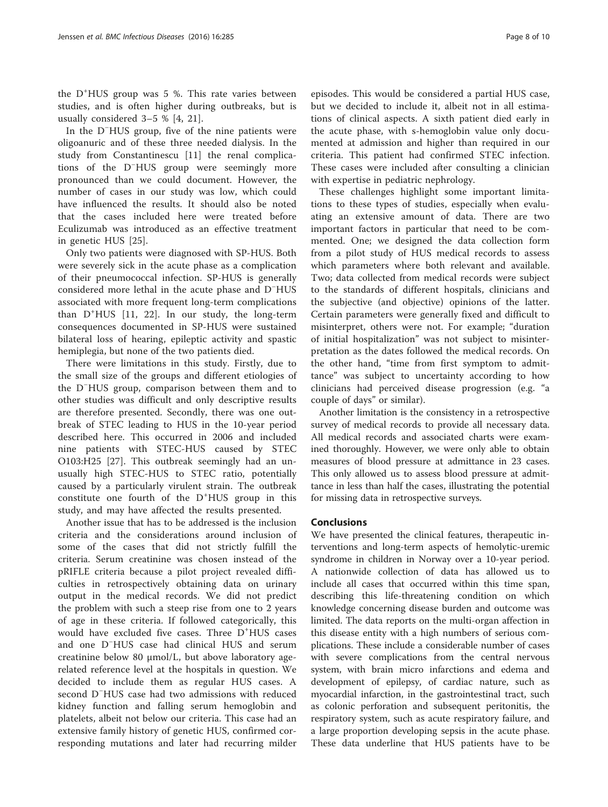the D<sup>+</sup> HUS group was 5 %. This rate varies between studies, and is often higher during outbreaks, but is usually considered 3–5 % [[4,](#page-8-0) [21\]](#page-9-0).

In the D<sup>−</sup> HUS group, five of the nine patients were oligoanuric and of these three needed dialysis. In the study from Constantinescu [\[11](#page-8-0)] the renal complications of the D<sup>−</sup> HUS group were seemingly more pronounced than we could document. However, the number of cases in our study was low, which could have influenced the results. It should also be noted that the cases included here were treated before Eculizumab was introduced as an effective treatment in genetic HUS [[25\]](#page-9-0).

Only two patients were diagnosed with SP-HUS. Both were severely sick in the acute phase as a complication of their pneumococcal infection. SP-HUS is generally considered more lethal in the acute phase and D<sup>−</sup> HUS associated with more frequent long-term complications than D<sup>+</sup> HUS [[11,](#page-8-0) [22](#page-9-0)]. In our study, the long-term consequences documented in SP-HUS were sustained bilateral loss of hearing, epileptic activity and spastic hemiplegia, but none of the two patients died.

There were limitations in this study. Firstly, due to the small size of the groups and different etiologies of the D<sup>−</sup> HUS group, comparison between them and to other studies was difficult and only descriptive results are therefore presented. Secondly, there was one outbreak of STEC leading to HUS in the 10-year period described here. This occurred in 2006 and included nine patients with STEC-HUS caused by STEC O103:H25 [[27\]](#page-9-0). This outbreak seemingly had an unusually high STEC-HUS to STEC ratio, potentially caused by a particularly virulent strain. The outbreak constitute one fourth of the D<sup>+</sup>HUS group in this study, and may have affected the results presented.

Another issue that has to be addressed is the inclusion criteria and the considerations around inclusion of some of the cases that did not strictly fulfill the criteria. Serum creatinine was chosen instead of the pRIFLE criteria because a pilot project revealed difficulties in retrospectively obtaining data on urinary output in the medical records. We did not predict the problem with such a steep rise from one to 2 years of age in these criteria. If followed categorically, this would have excluded five cases. Three D<sup>+</sup>HUS cases and one D<sup>−</sup> HUS case had clinical HUS and serum creatinine below 80 μmol/L, but above laboratory agerelated reference level at the hospitals in question. We decided to include them as regular HUS cases. A second D<sup>−</sup> HUS case had two admissions with reduced kidney function and falling serum hemoglobin and platelets, albeit not below our criteria. This case had an extensive family history of genetic HUS, confirmed corresponding mutations and later had recurring milder

episodes. This would be considered a partial HUS case, but we decided to include it, albeit not in all estimations of clinical aspects. A sixth patient died early in the acute phase, with s-hemoglobin value only documented at admission and higher than required in our criteria. This patient had confirmed STEC infection. These cases were included after consulting a clinician with expertise in pediatric nephrology.

These challenges highlight some important limitations to these types of studies, especially when evaluating an extensive amount of data. There are two important factors in particular that need to be commented. One; we designed the data collection form from a pilot study of HUS medical records to assess which parameters where both relevant and available. Two; data collected from medical records were subject to the standards of different hospitals, clinicians and the subjective (and objective) opinions of the latter. Certain parameters were generally fixed and difficult to misinterpret, others were not. For example; "duration of initial hospitalization" was not subject to misinterpretation as the dates followed the medical records. On the other hand, "time from first symptom to admittance" was subject to uncertainty according to how clinicians had perceived disease progression (e.g. "a couple of days" or similar).

Another limitation is the consistency in a retrospective survey of medical records to provide all necessary data. All medical records and associated charts were examined thoroughly. However, we were only able to obtain measures of blood pressure at admittance in 23 cases. This only allowed us to assess blood pressure at admittance in less than half the cases, illustrating the potential for missing data in retrospective surveys.

## Conclusions

We have presented the clinical features, therapeutic interventions and long-term aspects of hemolytic-uremic syndrome in children in Norway over a 10-year period. A nationwide collection of data has allowed us to include all cases that occurred within this time span, describing this life-threatening condition on which knowledge concerning disease burden and outcome was limited. The data reports on the multi-organ affection in this disease entity with a high numbers of serious complications. These include a considerable number of cases with severe complications from the central nervous system, with brain micro infarctions and edema and development of epilepsy, of cardiac nature, such as myocardial infarction, in the gastrointestinal tract, such as colonic perforation and subsequent peritonitis, the respiratory system, such as acute respiratory failure, and a large proportion developing sepsis in the acute phase. These data underline that HUS patients have to be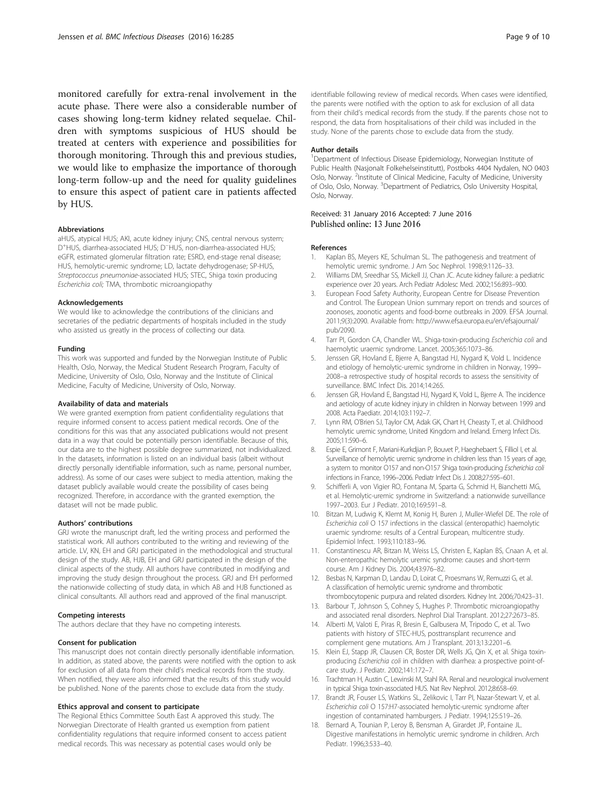<span id="page-8-0"></span>monitored carefully for extra-renal involvement in the acute phase. There were also a considerable number of cases showing long-term kidney related sequelae. Children with symptoms suspicious of HUS should be treated at centers with experience and possibilities for thorough monitoring. Through this and previous studies, we would like to emphasize the importance of thorough long-term follow-up and the need for quality guidelines to ensure this aspect of patient care in patients affected by HUS.

#### Abbreviations

aHUS, atypical HUS; AKI, acute kidney injury; CNS, central nervous system; D<sup>+</sup>HUS, diarrhea-associated HUS; D<sup>−</sup>HUS, non-diarrhea-associated HUS; eGFR, estimated glomerular filtration rate; ESRD, end-stage renal disease; HUS, hemolytic-uremic syndrome; LD, lactate dehydrogenase; SP-HUS, Streptococcus pneumoniae-associated HUS; STEC, Shiga toxin producing Escherichia coli; TMA, thrombotic microangiopathy

#### Acknowledgements

We would like to acknowledge the contributions of the clinicians and secretaries of the pediatric departments of hospitals included in the study who assisted us greatly in the process of collecting our data.

#### Funding

This work was supported and funded by the Norwegian Institute of Public Health, Oslo, Norway, the Medical Student Research Program, Faculty of Medicine, University of Oslo, Oslo, Norway and the Institute of Clinical Medicine, Faculty of Medicine, University of Oslo, Norway.

#### Availability of data and materials

We were granted exemption from patient confidentiality regulations that require informed consent to access patient medical records. One of the conditions for this was that any associated publications would not present data in a way that could be potentially person identifiable. Because of this, our data are to the highest possible degree summarized, not individualized. In the datasets, information is listed on an individual basis (albeit without directly personally identifiable information, such as name, personal number, address). As some of our cases were subject to media attention, making the dataset publicly available would create the possibility of cases being recognized. Therefore, in accordance with the granted exemption, the dataset will not be made public.

#### Authors' contributions

GRJ wrote the manuscript draft, led the writing process and performed the statistical work. All authors contributed to the writing and reviewing of the article. LV, KN, EH and GRJ participated in the methodological and structural design of the study. AB, HJB, EH and GRJ participated in the design of the clinical aspects of the study. All authors have contributed in modifying and improving the study design throughout the process. GRJ and EH performed the nationwide collecting of study data, in which AB and HJB functioned as clinical consultants. All authors read and approved of the final manuscript.

#### Competing interests

The authors declare that they have no competing interests.

#### Consent for publication

This manuscript does not contain directly personally identifiable information. In addition, as stated above, the parents were notified with the option to ask for exclusion of all data from their child's medical records from the study. When notified, they were also informed that the results of this study would be published. None of the parents chose to exclude data from the study.

#### Ethics approval and consent to participate

The Regional Ethics Committee South East A approved this study. The Norwegian Directorate of Health granted us exemption from patient confidentiality regulations that require informed consent to access patient medical records. This was necessary as potential cases would only be

identifiable following review of medical records. When cases were identified, the parents were notified with the option to ask for exclusion of all data from their child's medical records from the study. If the parents chose not to respond, the data from hospitalisations of their child was included in the study. None of the parents chose to exclude data from the study.

#### Author details

<sup>1</sup>Department of Infectious Disease Epidemiology, Norwegian Institute of Public Health (Nasjonalt Folkehelseinstitutt), Postboks 4404 Nydalen, NO 0403 Oslo, Norway. <sup>2</sup>Institute of Clinical Medicine, Faculty of Medicine, University of Oslo, Oslo, Norway. <sup>3</sup>Department of Pediatrics, Oslo University Hospital Oslo, Norway.

# Received: 31 January 2016 Accepted: 7 June 2016<br>Published online: 13 June 2016

#### References

- Kaplan BS, Meyers KE, Schulman SL. The pathogenesis and treatment of hemolytic uremic syndrome. J Am Soc Nephrol. 1998;9:1126–33.
- 2. Williams DM, Sreedhar SS, Mickell JJ, Chan JC. Acute kidney failure: a pediatric experience over 20 years. Arch Pediatr Adolesc Med. 2002;156:893–900.
- 3. European Food Safety Authority, European Centre for Disease Prevention and Control. The European Union summary report on trends and sources of zoonoses, zoonotic agents and food-borne outbreaks in 2009. EFSA Journal. 2011;9(3):2090. Available from: [http://www.efsa.europa.eu/en/efsajournal/](http://www.efsa.europa.eu/en/efsajournal/pub/2090) [pub/2090](http://www.efsa.europa.eu/en/efsajournal/pub/2090).
- 4. Tarr PI, Gordon CA, Chandler WL. Shiga-toxin-producing Escherichia coli and haemolytic uraemic syndrome. Lancet. 2005;365:1073–86.
- Jenssen GR, Hovland E, Bjerre A, Bangstad HJ, Nygard K, Vold L. Incidence and etiology of hemolytic-uremic syndrome in children in Norway, 1999– 2008–a retrospective study of hospital records to assess the sensitivity of surveillance. BMC Infect Dis. 2014;14:265.
- 6. Jenssen GR, Hovland E, Bangstad HJ, Nygard K, Vold L, Bjerre A. The incidence and aetiology of acute kidney injury in children in Norway between 1999 and 2008. Acta Paediatr. 2014;103:1192–7.
- 7. Lynn RM, O'Brien SJ, Taylor CM, Adak GK, Chart H, Cheasty T, et al. Childhood hemolytic uremic syndrome, United Kingdom and Ireland. Emerg Infect Dis. 2005;11:590–6.
- 8. Espie E, Grimont F, Mariani-Kurkdjian P, Bouvet P, Haeghebaert S, Filliol I, et al. Surveillance of hemolytic uremic syndrome in children less than 15 years of age, a system to monitor O157 and non-O157 Shiga toxin-producing Escherichia coli infections in France, 1996–2006. Pediatr Infect Dis J. 2008;27:595–601.
- 9. Schifferli A, von Vigier RO, Fontana M, Sparta G, Schmid H, Bianchetti MG, et al. Hemolytic-uremic syndrome in Switzerland: a nationwide surveillance 1997–2003. Eur J Pediatr. 2010;169:591–8.
- 10. Bitzan M, Ludwig K, Klemt M, Konig H, Buren J, Muller-Wiefel DE. The role of Escherichia coli O 157 infections in the classical (enteropathic) haemolytic uraemic syndrome: results of a Central European, multicentre study. Epidemiol Infect. 1993;110:183–96.
- 11. Constantinescu AR, Bitzan M, Weiss LS, Christen E, Kaplan BS, Cnaan A, et al. Non-enteropathic hemolytic uremic syndrome: causes and short-term course. Am J Kidney Dis. 2004;43:976–82.
- 12. Besbas N, Karpman D, Landau D, Loirat C, Proesmans W, Remuzzi G, et al. A classification of hemolytic uremic syndrome and thrombotic thrombocytopenic purpura and related disorders. Kidney Int. 2006;70:423–31.
- 13. Barbour T, Johnson S, Cohney S, Hughes P. Thrombotic microangiopathy and associated renal disorders. Nephrol Dial Transplant. 2012;27:2673–85.
- 14. Alberti M, Valoti E, Piras R, Bresin E, Galbusera M, Tripodo C, et al. Two patients with history of STEC-HUS, posttransplant recurrence and complement gene mutations. Am J Transplant. 2013;13:2201–6.
- 15. Klein EJ, Stapp JR, Clausen CR, Boster DR, Wells JG, Qin X, et al. Shiga toxinproducing Escherichia coli in children with diarrhea: a prospective point-ofcare study. J Pediatr. 2002;141:172–7.
- 16. Trachtman H, Austin C, Lewinski M, Stahl RA. Renal and neurological involvement in typical Shiga toxin-associated HUS. Nat Rev Nephrol. 2012;8:658–69.
- 17. Brandt JR, Fouser LS, Watkins SL, Zelikovic I, Tarr PI, Nazar-Stewart V, et al. Escherichia coli O 157:H7-associated hemolytic-uremic syndrome after ingestion of contaminated hamburgers. J Pediatr. 1994;125:519–26.
- 18. Bernard A, Tounian P, Leroy B, Bensman A, Girardet JP, Fontaine JL. Digestive manifestations in hemolytic uremic syndrome in children. Arch Pediatr. 1996;3:533–40.